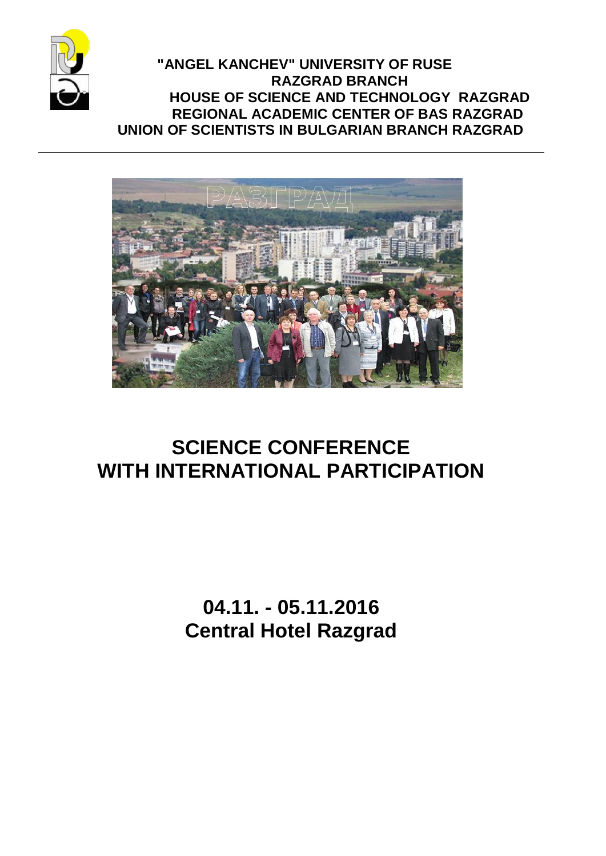

 **"ANGEL KANCHEV" UNIVERSITY OF RUSE RAZGRAD BRANCH HOUSE OF SCIENCE AND TECHNOLOGY RAZGRAD REGIONAL ACADEMIC CENTER OF BAS RAZGRAD UNION OF SCIENTISTS IN BULGARIAN BRANCH RAZGRAD**



# **SCIENCE CONFERENCE WITH INTERNATIONAL PARTICIPATION**

**04.11. - 05.11.2016 Central Hotel Razgrad**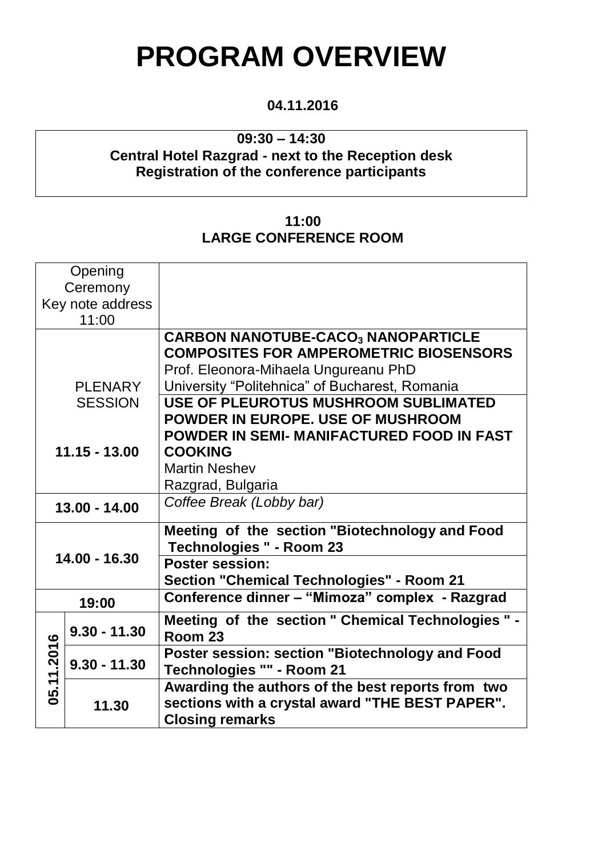# **PROGRAM OVERVIEW**

# **04.11.2016**

# **09:30 – 14:30 Central Hotel Razgrad - next to the Reception desk Registration of the conference participants**

# **11:00 LARGE CONFERENCE ROOM**

| Opening          |                |                                                    |
|------------------|----------------|----------------------------------------------------|
| Ceremony         |                |                                                    |
| Key note address |                |                                                    |
| 11:00            |                |                                                    |
|                  |                |                                                    |
|                  |                | <b>CARBON NANOTUBE-CACO3 NANOPARTICLE</b>          |
|                  |                | <b>COMPOSITES FOR AMPEROMETRIC BIOSENSORS</b>      |
|                  |                | Prof. Eleonora-Mihaela Ungureanu PhD               |
|                  | <b>PLENARY</b> | University "Politehnica" of Bucharest, Romania     |
|                  | <b>SESSION</b> | <b>USE OF PLEUROTUS MUSHROOM SUBLIMATED</b>        |
|                  |                | POWDER IN EUROPE. USE OF MUSHROOM                  |
|                  |                |                                                    |
|                  |                | POWDER IN SEMI- MANIFACTURED FOOD IN FAST          |
| $11.15 - 13.00$  |                | <b>COOKING</b>                                     |
|                  |                | <b>Martin Neshev</b>                               |
|                  |                | Razgrad, Bulgaria                                  |
| $13.00 - 14.00$  |                | Coffee Break (Lobby bar)                           |
|                  |                |                                                    |
| 14.00 - 16.30    |                | Meeting of the section "Biotechnology and Food     |
|                  |                | <b>Technologies " - Room 23</b>                    |
|                  |                | <b>Poster session:</b>                             |
|                  |                | <b>Section "Chemical Technologies" - Room 21</b>   |
|                  |                | Conference dinner - "Mimoza" complex - Razgrad     |
| 19:00            |                |                                                    |
| 05.11.2016       | $9.30 - 11.30$ | Meeting of the section " Chemical Technologies " - |
|                  |                | Room 23                                            |
|                  | $9.30 - 11.30$ | Poster session: section "Biotechnology and Food    |
|                  |                | Technologies "" - Room 21                          |
|                  |                | Awarding the authors of the best reports from two  |
|                  | 11.30          | sections with a crystal award "THE BEST PAPER".    |
|                  |                |                                                    |
|                  |                | <b>Closing remarks</b>                             |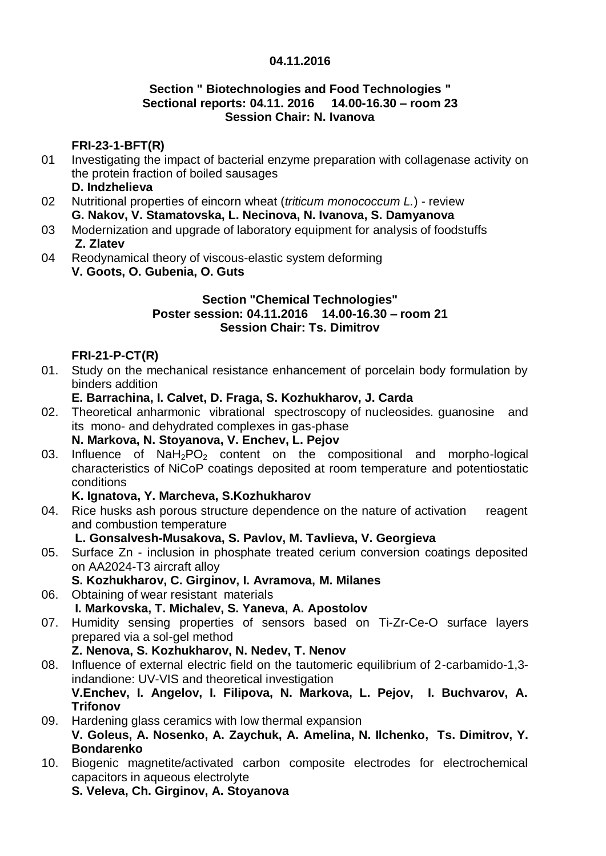#### **04.11.2016**

#### **Section " Biotechnologies and Food Technologies " Sectional reports: 04.11. 2016 14.00-16.30 – room 23 Session Chair: N. Ivanova**

# **FRI-23-1-BFT(R)**

- 01 Investigating the impact of bacterial enzyme preparation with collagenase activity on the protein fraction of boiled sausages
	- **D. Indzhelieva**
- 02 Nutritional properties of eincorn wheat (*triticum monococcum L.*) - review **G. Nakov, V. Stamatovska, L. Necinova, N. Ivanova, S. Damyanova**
- 03 Modernization and upgrade of laboratory equipment for analysis of foodstuffs **Z. Zlatev**
- 04 Reodynamical theory of viscous-elastic system deforming **V. Goots, O. Gubenia, O. Guts**

#### **Section "Chemical Technologies" Poster session: 04.11.2016 14.00-16.30 – room 21 Session Chair: Ts. Dimitrov**

#### **FRI-21-P-CT(R)**

01. Study on the mechanical resistance enhancement of porcelain body formulation by binders addition

#### **E. Barrachina, I. Calvet, D. Fraga, S. Kozhukharov, J. Carda**

- 02. Theoretical anharmonic vibrational spectroscopy of nucleosides. guanosine and its mono- and dehydrated complexes in gas-phase **N. Markova, N. Stoyanova, V. Enchev, L. Pejov**
- 03. Influence of  $N a H_2 PQ_2$  content on the compositional and morpho-logical characteristics of NiCoP coatings deposited at room temperature and potentiostatic conditions

#### **K. Ignatova, Y. Marcheva, S.Kozhukharov**

04. Rice husks ash porous structure dependence on the nature of activation reagent and combustion temperature

#### **L. Gonsalvesh-Musakova, S. Pavlov, M. Tavlieva, V. Georgieva**

- 05. Surface Zn inclusion in phosphate treated cerium conversion coatings deposited on AA2024-T3 aircraft alloy
	- **S. Kozhukharov, C. Girginov, I. Avramova, M. Milanes**
- 06. Obtaining of wear resistant materials **I. Markovska, T. Michalev, S. Yaneva, A. Apostolov**
- 07. Humidity sensing properties of sensors based on Ti-Zr-Ce-O surface layers prepared via a sol-gel method **Z. Nenova, S. Kozhukharov, N. Nedev, T. Nenov**
- 08. Influence of external electric field on the tautomeric equilibrium of 2-carbamido-1,3 indandione: UV-VIS and theoretical investigation **V.Enchev, I. Angelov, I. Filipova, N. Markova, L. Pejov, I. Buchvarov, A. Trifonov**
- 09. Hardening glass ceramics with low thermal expansion **V. Goleus, A. Nosenko, A. Zaychuk, A. Amelina, N. Ilchenko, Ts. Dimitrov, Y. Bondarenko**
- 10. Biogenic magnetite/activated carbon composite electrodes for electrochemical capacitors in aqueous electrolyte **S. Veleva, Ch. Girginov, A. Stoyanova**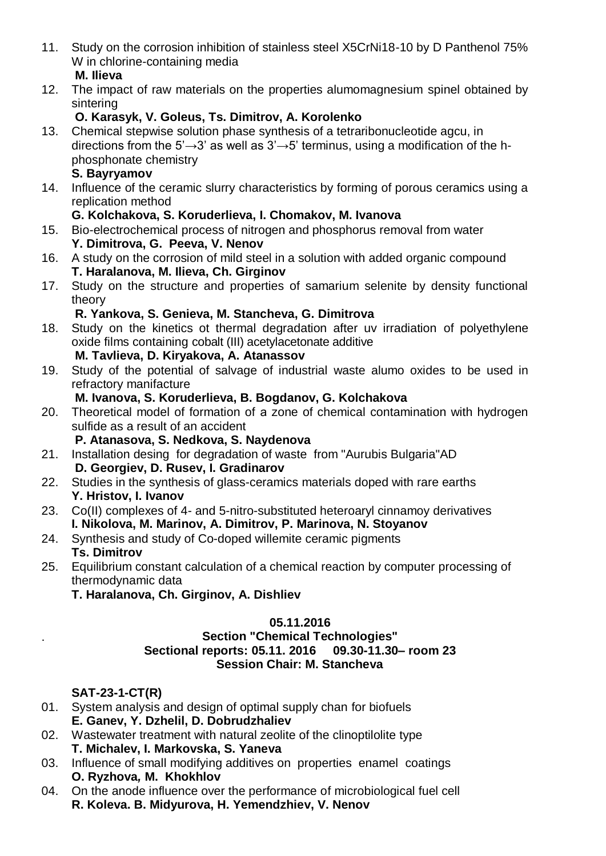- 11. Study on the corrosion inhibition of stainless steel X5CrNi18-10 by D Panthenol 75% W in chlorine-containing media **M. Ilieva**
- 12. The impact of raw materials on the properties alumomagnesium spinel obtained by sintering

# **O. Karasyk, V. Goleus, Ts. Dimitrov, A. Korolenko**

13. Chemical stepwise solution phase synthesis of a tetraribonucleotide agcu, in directions from the 5' $\rightarrow$ 3' as well as 3' $\rightarrow$ 5' terminus, using a modification of the hphosphonate chemistry

#### **S. Bayryamov**

14. Influence of the ceramic slurry characteristics by forming of porous ceramics using a replication method

# **G. Kolchakova, S. Koruderlieva, I. Chomakov, M. Ivanova**

- 15. Bio-electrochemical process of nitrogen and phosphorus removal from water **Y. Dimitrova, G. Peeva, V. Nenov**
- 16. A study on the corrosion of mild steel in a solution with added organic compound **T. Haralanova, M. Ilieva, Ch. Girginov**
- 17. Study on the structure and properties of samarium selenite by density functional theory

# **R. Yankova, S. Genieva, M. Stancheva, G. Dimitrova**

- 18. Study on the kinetics ot thermal degradation after uv irradiation [of polyethylene](http://onlinelibrary.wiley.com/doi/10.1002/app.33349/full)  [oxide films containing cobalt \(III\) acetylacetonate additive](http://onlinelibrary.wiley.com/doi/10.1002/app.33349/full) **M. Tavlieva, D. Kiryakova, A. Atanassov**
- 19. Study of the potential of salvage of industrial waste alumo oxides to be used in refractory manifacture

# **M. Ivanova, S. Koruderlieva, B. Bogdanov, G. Kolchakova**

- 20. Theoretical model of formation of а zone of chemical contamination with hydrogen sulfide as a result of an accident **P. Atanasova, S. Nedkova, S. Naydenova**
- 21. Installation desing for degradation of waste from "Aurubis Bulgaria"AD
	- **D. Georgiev, D. Rusev, I. Gradinarov**
- 22. Studies in the synthesis of glass-ceramics materials doped with rare earths **Y. Hristov, I. Ivanov**
- 23. Co(II) complexes of 4- and 5-nitro-substituted heteroaryl cinnamoy derivatives **I. Nikolova, M. Marinov, A. Dimitrov, P. Marinova, N. Stoyanov**
- 24. Synthesis and study of Co-doped willemite ceramic pigments **Ts. Dimitrov**
- 25. Equilibrium constant calculation of a chemical reaction by computer processing of thermodynamic data
	- **T. Haralanova, Ch. Girginov, A. Dishliev**

#### **05.11.2016**

#### **Section "Chemical Technologies" Sectional reports: 05.11. 2016 09.30-11.30– room 23 Session Chair: M. Stancheva**

# **SAT-23-1-CT(R)**

.

- 01. System analysis and design of optimal supply chan for biofuels **E. Ganev, Y. Dzhelil, D. Dobrudzhaliev**
- 02. Wastewater treatment with natural zeolite of the clinoptilolite type **T. Michalev, I. Markovska, S. Yaneva**
- 03. Influence of small modifying additives on properties enamel coatings **O. Ryzhova***,* **M. Khokhlov**
- 04. On the anode influence over the performance of microbiological fuel cell **R. Koleva. B. Midyurova, H. Yemendzhiev, V. Nenov**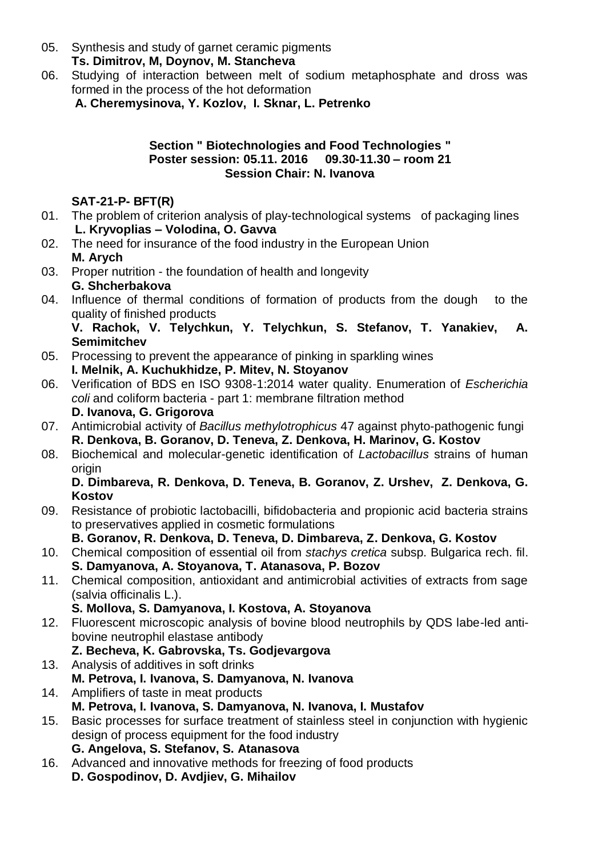- 05. Synthesis and study of garnet ceramic pigments **Ts. Dimitrov, M, Doynov, M. Stancheva**
- 06. Studying of interaction between melt of sodium metaphosphate and dross was formed in the process of the hot deformation

**A. Cheremysinova, Y. Kozlov, I. Sknar, L. Petrenko**

#### **Section " Biotechnologies and Food Technologies " Poster session: 05.11. 2016 09.30-11.30 – room 21 Session Chair: N. Ivanova**

# **SAT-21-P- BFT(R)**

- 01. The problem of criterion analysis of play-technological systems of packaging lines **L. Kryvoplias – Volodina, O. Gavva**
- 02. The need for insurance of the food industry in the European Union **M. Arych**
- 03. Proper nutrition - the foundation of health and longevity **G. Shcherbakova**
- 04. Influence of thermal conditions of formation of products from the dough to the quality of finished products

**V. Rachok, V. Telychkun, Y. Telychkun, S. Stefanov, T. Yanakiev, A. Semimitchev**

- 05. Processing to prevent the appearance of pinking in sparkling wines **I. Melnik, A. Kuchukhidze, P. Mitev, N. Stoyanov**
- 06. Verification of BDS en ISO 9308-1:2014 water quality. Enumeration of *Escherichia coli* and coliform bacteria - part 1: membrane filtration method **D. Ivanova, G. Grigorova**
- 07. Antimicrobial activity of *Bacillus methylotrophicus* 47 against phyto-pathogenic fungi **R. Denkova, B. Goranov, D. Teneva, Z. Denkova, H. Marinov, G. Kostov**
- 08. Biochemical and molecular-genetic identification of *Lactobacillus* strains of human origin

**D. Dimbareva, R. Denkova, D. Teneva, B. Goranov, Z. Urshev, Z. Denkova, G. Kostov**

09. Resistance of probiotic lactobacilli, bifidobacteria and propionic acid bacteria strains to preservatives applied in cosmetic formulations

**B. Goranov, R. Denkova, D. Teneva, D. Dimbareva, Z. Denkova, G. Kostov**

- 10. Chemical composition of essential oil from *stachys cretica* subsp. Bulgarica rech. fil. **S. Damyanova, A. Stoyanova, T. Atanasova, P. Bozov**
- 11. Chemical composition, antioxidant and antimicrobial activities of extracts from sage (salvia officinalis L.).
	- **S. Mollova, S. Damyanova, I. Kostova, A. Stoyanova**
- 12. Fluorescent microscopic analysis of bovine blood neutrophils by QDS labe-led antibovine neutrophil elastase antibody
	- **Z. Becheva, K. Gabrovska, Ts. Godjevargova**
- 13. Analysis of additives in soft drinks **M. Petrova, I. Ivanova, S. Damyanova, N. Ivanova**
- 14. Amplifiers of taste in meat products **M. Petrova, I. Ivanova, S. Damyanova, N. Ivanova, I. Mustafov**
- 15. Basic processes for surface treatment of stainless steel in conjunction with hygienic design of process equipment for the food industry **G. Angelova, S. Stefanov, S. Atanasova**
- 16. Advanced and innovative methods for freezing of food products **D. Gospodinov, D. Avdjiev, G. Mihailov**